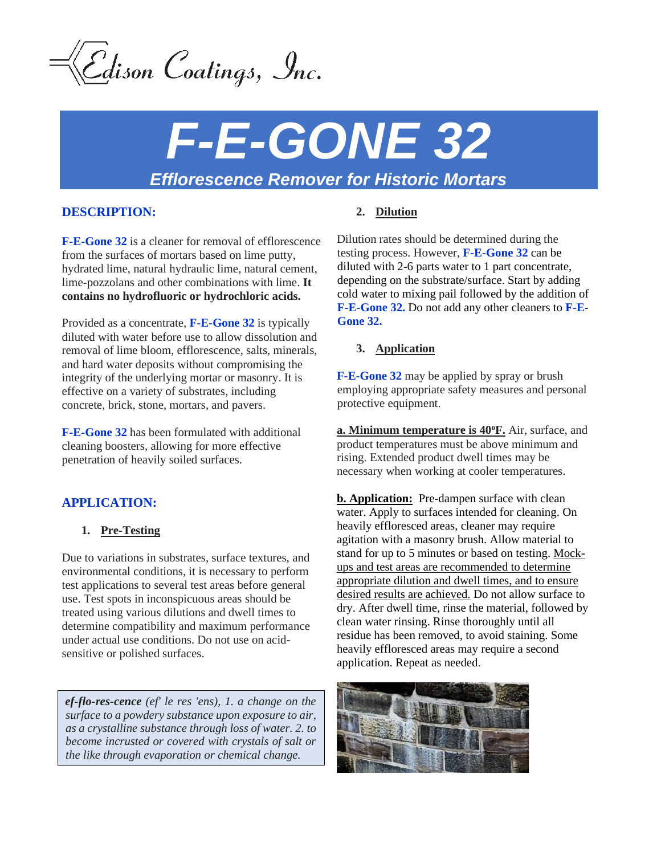Cdison Coatings, Inc.

# *F-E-GONE 32 Efflorescence Remover for Historic Mortars*

## **DESCRIPTION:**

**F-E-Gone 32** is a cleaner for removal of efflorescence from the surfaces of mortars based on lime putty, hydrated lime, natural hydraulic lime, natural cement, lime-pozzolans and other combinations with lime. **It contains no hydrofluoric or hydrochloric acids.**

Provided as a concentrate, **F-E-Gone 32** is typically diluted with water before use to allow dissolution and removal of lime bloom, efflorescence, salts, minerals, and hard water deposits without compromising the integrity of the underlying mortar or masonry. It is effective on a variety of substrates, including concrete, brick, stone, mortars, and pavers.

**F-E-Gone 32** has been formulated with additional cleaning boosters, allowing for more effective penetration of heavily soiled surfaces.

# **APPLICATION:**

### **1. Pre-Testing**

Due to variations in substrates, surface textures, and environmental conditions, it is necessary to perform test applications to several test areas before general use. Test spots in inconspicuous areas should be treated using various dilutions and dwell times to determine compatibility and maximum performance under actual use conditions. Do not use on acidsensitive or polished surfaces.

*ef-flo-res-cence (ef' le res 'ens), 1. a change on the surface to a powdery substance upon exposure to air, as a crystalline substance through loss of water. 2. to become incrusted or covered with crystals of salt or the like through evaporation or chemical change.*

## **2. Dilution**

Dilution rates should be determined during the testing process. However, **F-E-Gone 32** can be diluted with 2-6 parts water to 1 part concentrate, depending on the substrate/surface. Start by adding cold water to mixing pail followed by the addition of **F-E-Gone 32.** Do not add any other cleaners to **F-E-Gone 32.**

### **3. Application**

**F-E-Gone 32** may be applied by spray or brush employing appropriate safety measures and personal protective equipment.

**a. Minimum temperature is 40<sup>o</sup>F.** Air, surface, and product temperatures must be above minimum and rising. Extended product dwell times may be necessary when working at cooler temperatures.

**b. Application:** Pre-dampen surface with clean water. Apply to surfaces intended for cleaning. On heavily effloresced areas, cleaner may require agitation with a masonry brush. Allow material to stand for up to 5 minutes or based on testing. Mockups and test areas are recommended to determine appropriate dilution and dwell times, and to ensure desired results are achieved. Do not allow surface to dry. After dwell time, rinse the material, followed by clean water rinsing. Rinse thoroughly until all residue has been removed, to avoid staining. Some heavily effloresced areas may require a second application. Repeat as needed.